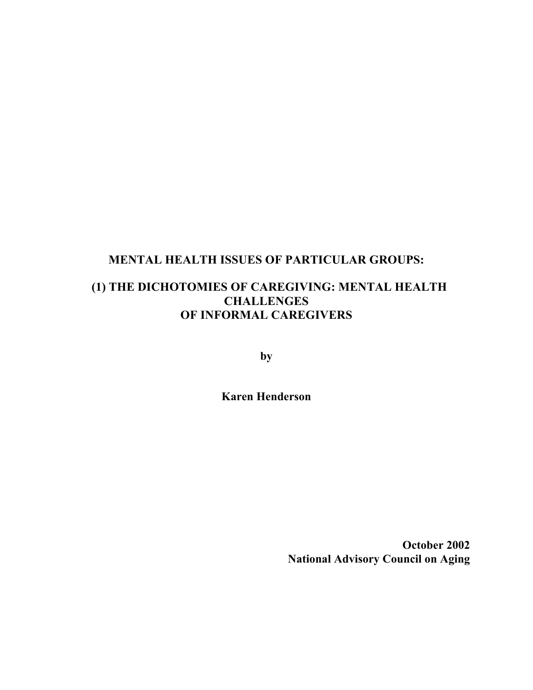# **MENTAL HEALTH ISSUES OF PARTICULAR GROUPS:**

# **(1) THE DICHOTOMIES OF CAREGIVING: MENTAL HEALTH CHALLENGES OF INFORMAL CAREGIVERS**

**by**

**Karen Henderson**

**October 2002 National Advisory Council on Aging**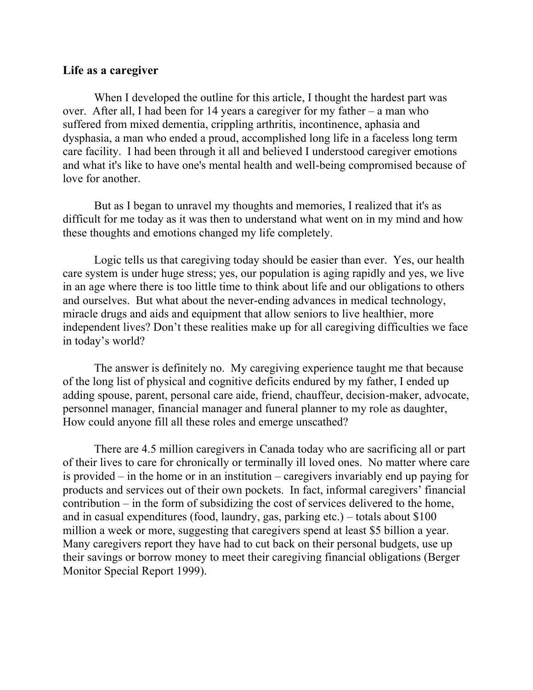# **Life as a caregiver**

When I developed the outline for this article, I thought the hardest part was over. After all, I had been for 14 years a caregiver for my father – a man who suffered from mixed dementia, crippling arthritis, incontinence, aphasia and dysphasia, a man who ended a proud, accomplished long life in a faceless long term care facility. I had been through it all and believed I understood caregiver emotions and what it's like to have one's mental health and well-being compromised because of love for another.

But as I began to unravel my thoughts and memories, I realized that it's as difficult for me today as it was then to understand what went on in my mind and how these thoughts and emotions changed my life completely.

Logic tells us that caregiving today should be easier than ever. Yes, our health care system is under huge stress; yes, our population is aging rapidly and yes, we live in an age where there is too little time to think about life and our obligations to others and ourselves. But what about the never-ending advances in medical technology, miracle drugs and aids and equipment that allow seniors to live healthier, more independent lives? Don't these realities make up for all caregiving difficulties we face in today's world?

The answer is definitely no. My caregiving experience taught me that because of the long list of physical and cognitive deficits endured by my father, I ended up adding spouse, parent, personal care aide, friend, chauffeur, decision-maker, advocate, personnel manager, financial manager and funeral planner to my role as daughter, How could anyone fill all these roles and emerge unscathed?

There are 4.5 million caregivers in Canada today who are sacrificing all or part of their lives to care for chronically or terminally ill loved ones. No matter where care is provided – in the home or in an institution – caregivers invariably end up paying for products and services out of their own pockets. In fact, informal caregivers' financial contribution – in the form of subsidizing the cost of services delivered to the home, and in casual expenditures (food, laundry, gas, parking etc.) – totals about \$100 million a week or more, suggesting that caregivers spend at least \$5 billion a year. Many caregivers report they have had to cut back on their personal budgets, use up their savings or borrow money to meet their caregiving financial obligations (Berger Monitor Special Report 1999).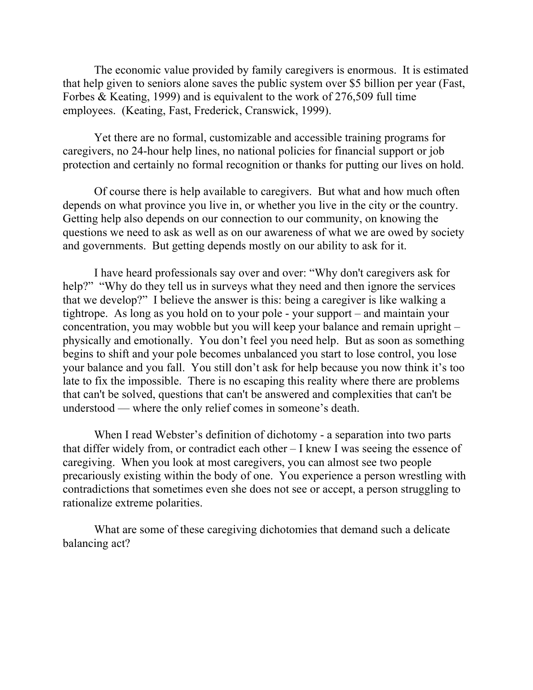The economic value provided by family caregivers is enormous. It is estimated that help given to seniors alone saves the public system over \$5 billion per year (Fast, Forbes & Keating, 1999) and is equivalent to the work of 276,509 full time employees. (Keating, Fast, Frederick, Cranswick, 1999).

Yet there are no formal, customizable and accessible training programs for caregivers, no 24-hour help lines, no national policies for financial support or job protection and certainly no formal recognition or thanks for putting our lives on hold.

Of course there is help available to caregivers. But what and how much often depends on what province you live in, or whether you live in the city or the country. Getting help also depends on our connection to our community, on knowing the questions we need to ask as well as on our awareness of what we are owed by society and governments. But getting depends mostly on our ability to ask for it.

I have heard professionals say over and over: "Why don't caregivers ask for help?" "Why do they tell us in surveys what they need and then ignore the services that we develop?" I believe the answer is this: being a caregiver is like walking a tightrope. As long as you hold on to your pole - your support – and maintain your concentration, you may wobble but you will keep your balance and remain upright – physically and emotionally. You don't feel you need help. But as soon as something begins to shift and your pole becomes unbalanced you start to lose control, you lose your balance and you fall. You still don't ask for help because you now think it's too late to fix the impossible. There is no escaping this reality where there are problems that can't be solved, questions that can't be answered and complexities that can't be understood — where the only relief comes in someone's death.

When I read Webster's definition of dichotomy - a separation into two parts that differ widely from, or contradict each other – I knew I was seeing the essence of caregiving. When you look at most caregivers, you can almost see two people precariously existing within the body of one. You experience a person wrestling with contradictions that sometimes even she does not see or accept, a person struggling to rationalize extreme polarities.

What are some of these caregiving dichotomies that demand such a delicate balancing act?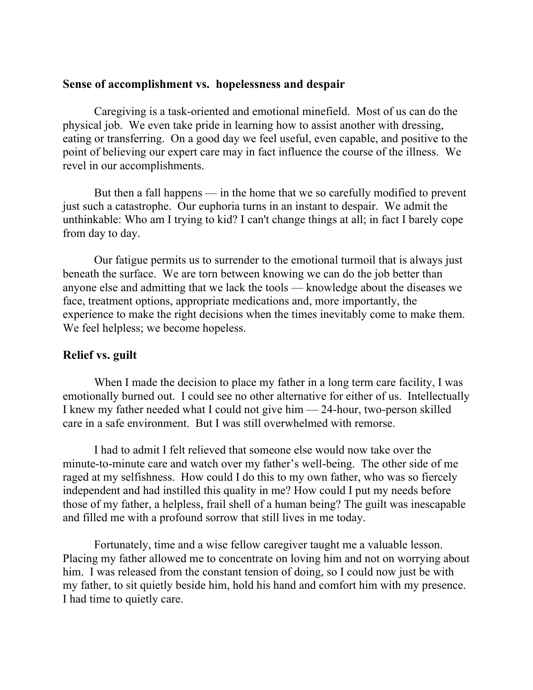### **Sense of accomplishment vs. hopelessness and despair**

Caregiving is a task-oriented and emotional minefield. Most of us can do the physical job. We even take pride in learning how to assist another with dressing, eating or transferring. On a good day we feel useful, even capable, and positive to the point of believing our expert care may in fact influence the course of the illness. We revel in our accomplishments.

But then a fall happens — in the home that we so carefully modified to prevent just such a catastrophe. Our euphoria turns in an instant to despair. We admit the unthinkable: Who am I trying to kid? I can't change things at all; in fact I barely cope from day to day.

Our fatigue permits us to surrender to the emotional turmoil that is always just beneath the surface. We are torn between knowing we can do the job better than anyone else and admitting that we lack the tools — knowledge about the diseases we face, treatment options, appropriate medications and, more importantly, the experience to make the right decisions when the times inevitably come to make them. We feel helpless; we become hopeless.

# **Relief vs. guilt**

When I made the decision to place my father in a long term care facility, I was emotionally burned out. I could see no other alternative for either of us. Intellectually I knew my father needed what I could not give him — 24-hour, two-person skilled care in a safe environment. But I was still overwhelmed with remorse.

I had to admit I felt relieved that someone else would now take over the minute-to-minute care and watch over my father's well-being. The other side of me raged at my selfishness. How could I do this to my own father, who was so fiercely independent and had instilled this quality in me? How could I put my needs before those of my father, a helpless, frail shell of a human being? The guilt was inescapable and filled me with a profound sorrow that still lives in me today.

Fortunately, time and a wise fellow caregiver taught me a valuable lesson. Placing my father allowed me to concentrate on loving him and not on worrying about him. I was released from the constant tension of doing, so I could now just be with my father, to sit quietly beside him, hold his hand and comfort him with my presence. I had time to quietly care.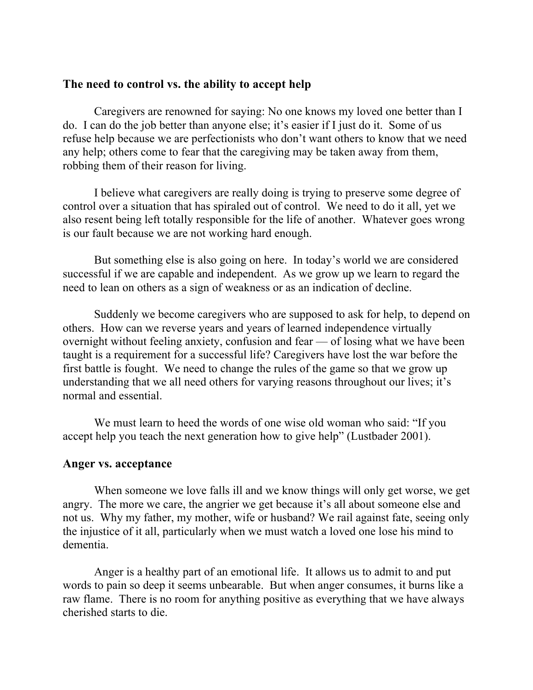# **The need to control vs. the ability to accept help**

Caregivers are renowned for saying: No one knows my loved one better than I do. I can do the job better than anyone else; it's easier if I just do it. Some of us refuse help because we are perfectionists who don't want others to know that we need any help; others come to fear that the caregiving may be taken away from them, robbing them of their reason for living.

I believe what caregivers are really doing is trying to preserve some degree of control over a situation that has spiraled out of control. We need to do it all, yet we also resent being left totally responsible for the life of another. Whatever goes wrong is our fault because we are not working hard enough.

But something else is also going on here. In today's world we are considered successful if we are capable and independent. As we grow up we learn to regard the need to lean on others as a sign of weakness or as an indication of decline.

Suddenly we become caregivers who are supposed to ask for help, to depend on others. How can we reverse years and years of learned independence virtually overnight without feeling anxiety, confusion and fear — of losing what we have been taught is a requirement for a successful life? Caregivers have lost the war before the first battle is fought. We need to change the rules of the game so that we grow up understanding that we all need others for varying reasons throughout our lives; it's normal and essential.

We must learn to heed the words of one wise old woman who said: "If you accept help you teach the next generation how to give help" (Lustbader 2001).

#### **Anger vs. acceptance**

When someone we love falls ill and we know things will only get worse, we get angry. The more we care, the angrier we get because it's all about someone else and not us. Why my father, my mother, wife or husband? We rail against fate, seeing only the injustice of it all, particularly when we must watch a loved one lose his mind to dementia.

Anger is a healthy part of an emotional life. It allows us to admit to and put words to pain so deep it seems unbearable. But when anger consumes, it burns like a raw flame. There is no room for anything positive as everything that we have always cherished starts to die.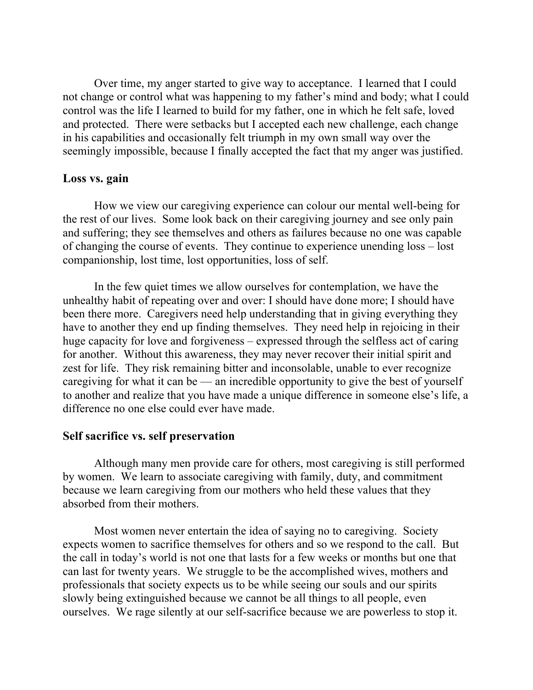Over time, my anger started to give way to acceptance. I learned that I could not change or control what was happening to my father's mind and body; what I could control was the life I learned to build for my father, one in which he felt safe, loved and protected. There were setbacks but I accepted each new challenge, each change in his capabilities and occasionally felt triumph in my own small way over the seemingly impossible, because I finally accepted the fact that my anger was justified.

### **Loss vs. gain**

How we view our caregiving experience can colour our mental well-being for the rest of our lives. Some look back on their caregiving journey and see only pain and suffering; they see themselves and others as failures because no one was capable of changing the course of events. They continue to experience unending loss – lost companionship, lost time, lost opportunities, loss of self.

In the few quiet times we allow ourselves for contemplation, we have the unhealthy habit of repeating over and over: I should have done more; I should have been there more. Caregivers need help understanding that in giving everything they have to another they end up finding themselves. They need help in rejoicing in their huge capacity for love and forgiveness – expressed through the selfless act of caring for another. Without this awareness, they may never recover their initial spirit and zest for life. They risk remaining bitter and inconsolable, unable to ever recognize caregiving for what it can be — an incredible opportunity to give the best of yourself to another and realize that you have made a unique difference in someone else's life, a difference no one else could ever have made.

#### **Self sacrifice vs. self preservation**

Although many men provide care for others, most caregiving is still performed by women. We learn to associate caregiving with family, duty, and commitment because we learn caregiving from our mothers who held these values that they absorbed from their mothers.

Most women never entertain the idea of saying no to caregiving. Society expects women to sacrifice themselves for others and so we respond to the call. But the call in today's world is not one that lasts for a few weeks or months but one that can last for twenty years. We struggle to be the accomplished wives, mothers and professionals that society expects us to be while seeing our souls and our spirits slowly being extinguished because we cannot be all things to all people, even ourselves. We rage silently at our self-sacrifice because we are powerless to stop it.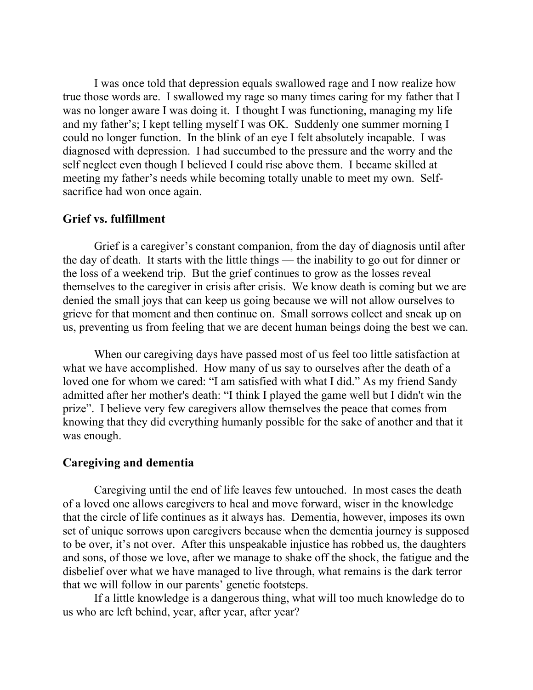I was once told that depression equals swallowed rage and I now realize how true those words are. I swallowed my rage so many times caring for my father that I was no longer aware I was doing it. I thought I was functioning, managing my life and my father's; I kept telling myself I was OK. Suddenly one summer morning I could no longer function. In the blink of an eye I felt absolutely incapable. I was diagnosed with depression. I had succumbed to the pressure and the worry and the self neglect even though I believed I could rise above them. I became skilled at meeting my father's needs while becoming totally unable to meet my own. Selfsacrifice had won once again.

## **Grief vs. fulfillment**

Grief is a caregiver's constant companion, from the day of diagnosis until after the day of death. It starts with the little things — the inability to go out for dinner or the loss of a weekend trip. But the grief continues to grow as the losses reveal themselves to the caregiver in crisis after crisis. We know death is coming but we are denied the small joys that can keep us going because we will not allow ourselves to grieve for that moment and then continue on. Small sorrows collect and sneak up on us, preventing us from feeling that we are decent human beings doing the best we can.

When our caregiving days have passed most of us feel too little satisfaction at what we have accomplished. How many of us say to ourselves after the death of a loved one for whom we cared: "I am satisfied with what I did." As my friend Sandy admitted after her mother's death: "I think I played the game well but I didn't win the prize". I believe very few caregivers allow themselves the peace that comes from knowing that they did everything humanly possible for the sake of another and that it was enough.

## **Caregiving and dementia**

Caregiving until the end of life leaves few untouched. In most cases the death of a loved one allows caregivers to heal and move forward, wiser in the knowledge that the circle of life continues as it always has. Dementia, however, imposes its own set of unique sorrows upon caregivers because when the dementia journey is supposed to be over, it's not over. After this unspeakable injustice has robbed us, the daughters and sons, of those we love, after we manage to shake off the shock, the fatigue and the disbelief over what we have managed to live through, what remains is the dark terror that we will follow in our parents' genetic footsteps.

If a little knowledge is a dangerous thing, what will too much knowledge do to us who are left behind, year, after year, after year?